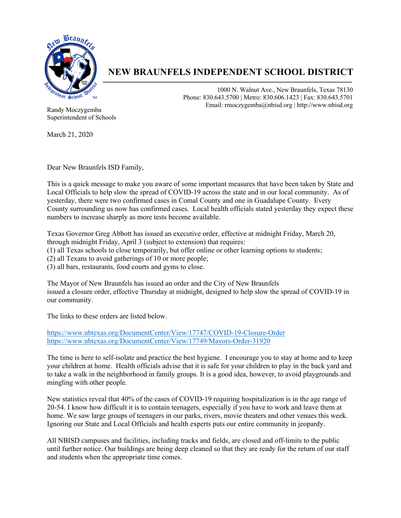

## **NEW BRAUNFELS INDEPENDENT SCHOOL DISTRICT**

1000 N. Walnut Ave., New Braunfels, Texas 78130 Phone: 830.643.5700 | Metro: 830.606.1423 | Fax: 830.643.5701 Email: rmoczygemba@nbisd.org | http://www.nbisd.org

Randy Moczygemba Superintendent of Schools

March 21, 2020

Dear New Braunfels ISD Family,

This is a quick message to make you aware of some important measures that have been taken by State and Local Officials to help slow the spread of COVID-19 across the state and in our local community. As of yesterday, there were two confirmed cases in Comal County and one in Guadalupe County. Every County surrounding us now has confirmed cases. Local health officials stated yesterday they expect these numbers to increase sharply as more tests become available.

Texas Governor Greg Abbott has issued an executive order, effective at midnight Friday, March 20, through midnight Friday, April 3 (subject to extension) that requires:

(1) all Texas schools to close temporarily, but offer online or other learning options to students;

(2) all Texans to avoid gatherings of 10 or more people;

(3) all bars, restaurants, food courts and gyms to close.

The Mayor of New Braunfels has issued an order and the City of New Braunfels issued a closure order, effective Thursday at midnight, designed to help slow the spread of COVID-19 in our community.

The links to these orders are listed below.

https://www.nbtexas.org/DocumentCenter/View/17747/COVID-19-Closure-Order https://www.nbtexas.org/DocumentCenter/View/17749/Mayors-Order-31920

The time is here to self-isolate and practice the best hygiene. I encourage you to stay at home and to keep your children at home. Health officials advise that it is safe for your children to play in the back yard and to take a walk in the neighborhood in family groups. It is a good idea, however, to avoid playgrounds and mingling with other people.

New statistics reveal that 40% of the cases of COVID-19 requiring hospitalization is in the age range of 20-54. I know how difficult it is to contain teenagers, especially if you have to work and leave them at home. We saw large groups of teenagers in our parks, rivers, movie theaters and other venues this week. Ignoring our State and Local Officials and health experts puts our entire community in jeopardy.

All NBISD campuses and facilities, including tracks and fields, are closed and off-limits to the public until further notice. Our buildings are being deep cleaned so that they are ready for the return of our staff and students when the appropriate time comes.